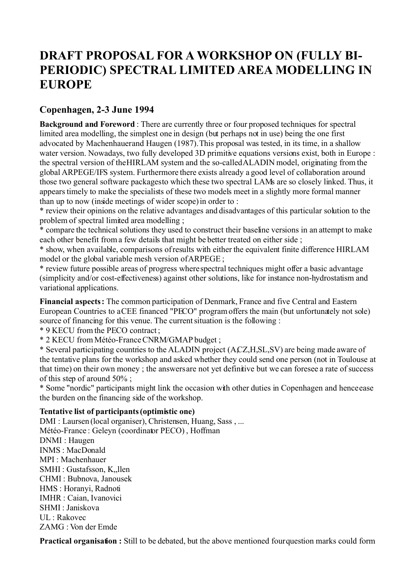## **DRAFT PROPOSAL FOR A WORKSHOP ON (FULLY BI-PERIODIC) SPECTRAL LIMITED AREA MODELLING IN EUROPE**

## **Copenhagen, 2-3 June 1994**

**Background and Foreword**: There are currently three or four proposed techniques for spectral limited area modelling, the simplest one in design (but perhaps not in use) being the one first advocated by Machenhauer and Haugen (1987). This proposal was tested, in its time, in a shallow water version. Nowadays, two fully developed 3D primitive equations versions exist, both in Europe : the spectral version of the HIRLAM system and the so-called ALADIN model, originating from the global ARPEGE/IFS system. Furthermore there exists already a good level of collaboration around those two general software packages to which these two spectral LAMs are so closely linked. Thus, it appears timely to make the specialists of these two models meet in a slightly more formal manner than up to now (inside meetings of wider scope) in order to :

\* review their opinions on the relative advantages and disadvantages of this particular solution to the problem of spectral limited area modelling ;

\* compare the technical solutions they used to construct their baseline versions in an attempt to make each other benefit from a few details that might be better treated on either side ;

\* show, when available, comparisons of results with either the equivalent finite difference HIRLAM model or the global variable mesh version of ARPEGE ;

\* review future possible areas of progress where spectral techniques might offer a basic advantage (simplicity and/or cost-effectiveness) against other solutions, like for instance non-hydrostatism and variational applications.

**Financial aspects :** The common participation of Denmark, France and five Central and Eastern European Countries to a CEE financed "PECO" program offers the main (but unfortunately not sole) source of financing for this venue. The current situation is the following :

\* 9 KECU from the PECO contract ;

\* 2 KECU from Météo-France CNRM/GMAP budget ;

\* Several participating countries to the ALADIN project (A,CZ,H,SL,SV) are being made aware of the tentative plans for the workshop and asked whether they could send one person (not in Toulouse at that time) on their own money ; the answers are not yet definitive but we can foresee a rate of success of this step of around 50% ;

\* Some "nordic" participants might link the occasion with other duties in Copenhagen and hence ease the burden on the financing side of the workshop.

## **Tentative list of participants (optimistic one)**

DMI : Laursen (local organiser), Christensen, Huang, Sass , ... Météo-France : Geleyn (coordinator PECO) , Hoffman DNMI : Haugen INMS : MacDonald MPI : Machenhauer SMHI : Gustafsson, K., llen CHMI : Bubnova, Janousek HMS : Horanyi, Radnoti IMHR : Caian, Ivanovici SHMI : Janiskova UL : Rakovec ZAMG : Von der Emde

**Practical organisation :** Still to be debated, but the above mentioned four question marks could form